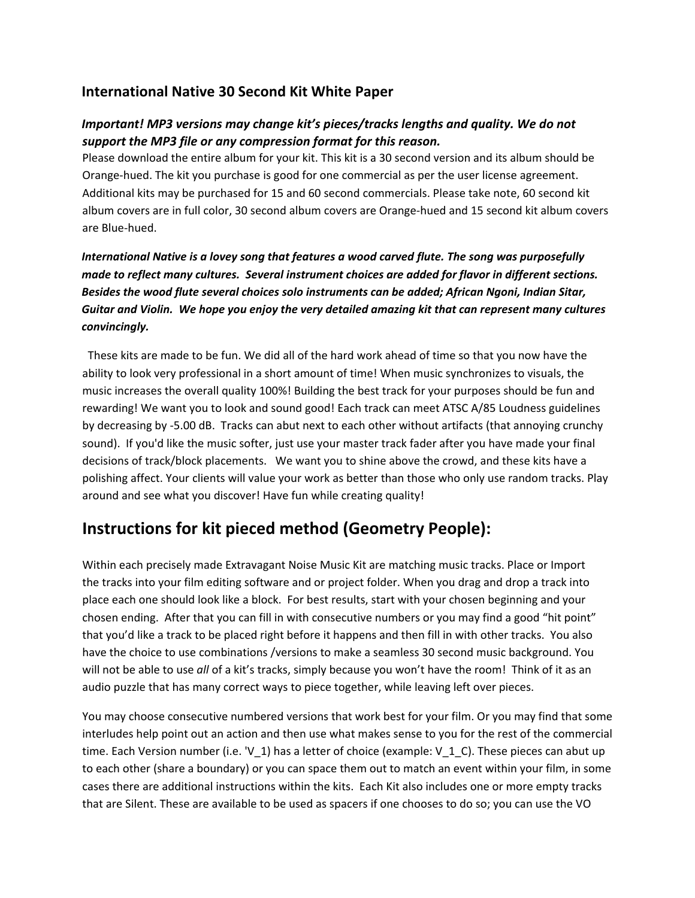### **International Native 30 Second Kit White Paper**

#### *Important! MP3 versions may change kit's pieces/tracks lengths and quality. We do not support the MP3 file or any compression format for this reason.*

Please download the entire album for your kit. This kit is a 30 second version and its album should be Orange-hued. The kit you purchase is good for one commercial as per the user license agreement. Additional kits may be purchased for 15 and 60 second commercials. Please take note, 60 second kit album covers are in full color, 30 second album covers are Orange-hued and 15 second kit album covers are Blue-hued.

*International Native is a lovey song that features a wood carved flute. The song was purposefully made to reflect many cultures. Several instrument choices are added for flavor in different sections. Besides the wood flute several choices solo instruments can be added; African Ngoni, Indian Sitar, Guitar and Violin. We hope you enjoy the very detailed amazing kit that can represent many cultures convincingly.* 

 These kits are made to be fun. We did all of the hard work ahead of time so that you now have the ability to look very professional in a short amount of time! When music synchronizes to visuals, the music increases the overall quality 100%! Building the best track for your purposes should be fun and rewarding! We want you to look and sound good! Each track can meet ATSC A/85 Loudness guidelines by decreasing by -5.00 dB. Tracks can abut next to each other without artifacts (that annoying crunchy sound). If you'd like the music softer, just use your master track fader after you have made your final decisions of track/block placements. We want you to shine above the crowd, and these kits have a polishing affect. Your clients will value your work as better than those who only use random tracks. Play around and see what you discover! Have fun while creating quality!

## **Instructions for kit pieced method (Geometry People):**

Within each precisely made Extravagant Noise Music Kit are matching music tracks. Place or Import the tracks into your film editing software and or project folder. When you drag and drop a track into place each one should look like a block. For best results, start with your chosen beginning and your chosen ending. After that you can fill in with consecutive numbers or you may find a good "hit point" that you'd like a track to be placed right before it happens and then fill in with other tracks. You also have the choice to use combinations /versions to make a seamless 30 second music background. You will not be able to use *all* of a kit's tracks, simply because you won't have the room! Think of it as an audio puzzle that has many correct ways to piece together, while leaving left over pieces.

You may choose consecutive numbered versions that work best for your film. Or you may find that some interludes help point out an action and then use what makes sense to you for the rest of the commercial time. Each Version number (i.e. 'V\_1) has a letter of choice (example: V\_1\_C). These pieces can abut up to each other (share a boundary) or you can space them out to match an event within your film, in some cases there are additional instructions within the kits. Each Kit also includes one or more empty tracks that are Silent. These are available to be used as spacers if one chooses to do so; you can use the VO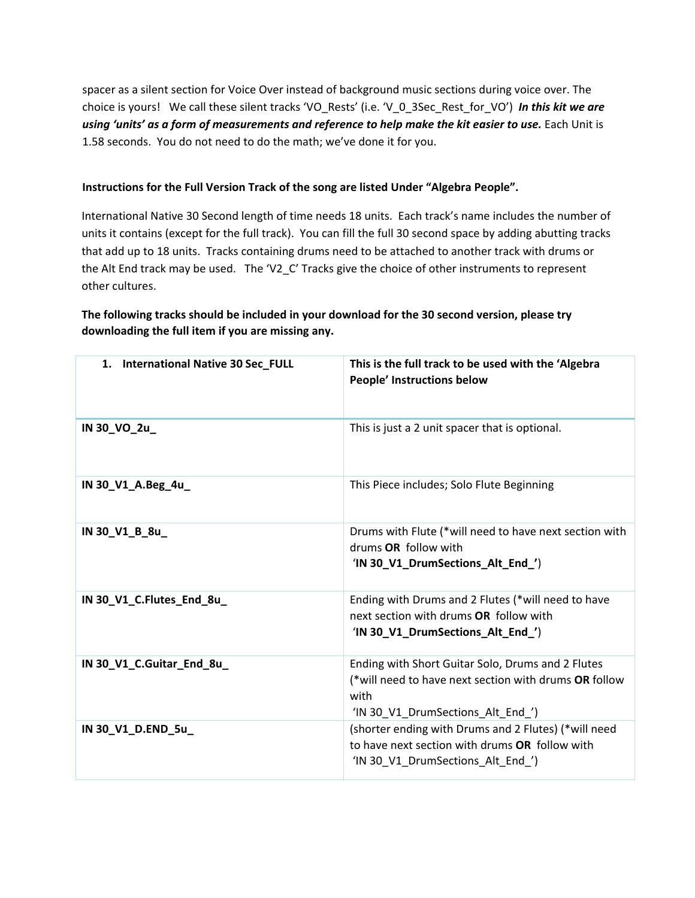spacer as a silent section for Voice Over instead of background music sections during voice over. The choice is yours! We call these silent tracks 'VO\_Rests' (i.e. 'V\_0\_3Sec\_Rest\_for\_VO') *In this kit we are*  using 'units' as a form of measurements and reference to help make the kit easier to use. Each Unit is 1.58 seconds. You do not need to do the math; we've done it for you.

#### **Instructions for the Full Version Track of the song are listed Under "Algebra People".**

International Native 30 Second length of time needs 18 units. Each track's name includes the number of units it contains (except for the full track). You can fill the full 30 second space by adding abutting tracks that add up to 18 units. Tracks containing drums need to be attached to another track with drums or the Alt End track may be used. The 'V2 C' Tracks give the choice of other instruments to represent other cultures.

#### **The following tracks should be included in your download for the 30 second version, please try downloading the full item if you are missing any.**

| 1. International Native 30 Sec_FULL | This is the full track to be used with the 'Algebra<br>People' Instructions below                                                                       |
|-------------------------------------|---------------------------------------------------------------------------------------------------------------------------------------------------------|
| IN 30_VO_2u_                        | This is just a 2 unit spacer that is optional.                                                                                                          |
| IN 30_V1_A.Beg_4u_                  | This Piece includes; Solo Flute Beginning                                                                                                               |
| IN 30_V1_B_8u_                      | Drums with Flute (*will need to have next section with<br>drums OR follow with<br>'IN 30_V1_DrumSections_Alt_End_')                                     |
| IN 30_V1_C.Flutes_End_8u_           | Ending with Drums and 2 Flutes (*will need to have<br>next section with drums OR follow with<br>'IN 30_V1_DrumSections_Alt_End_')                       |
| IN 30_V1_C.Guitar_End_8u_           | Ending with Short Guitar Solo, Drums and 2 Flutes<br>(*will need to have next section with drums OR follow<br>with<br>'IN 30 V1 DrumSections Alt End ') |
| IN 30_V1_D.END_5u_                  | (shorter ending with Drums and 2 Flutes) (*will need<br>to have next section with drums OR follow with<br>'IN 30_V1_DrumSections_Alt_End_')             |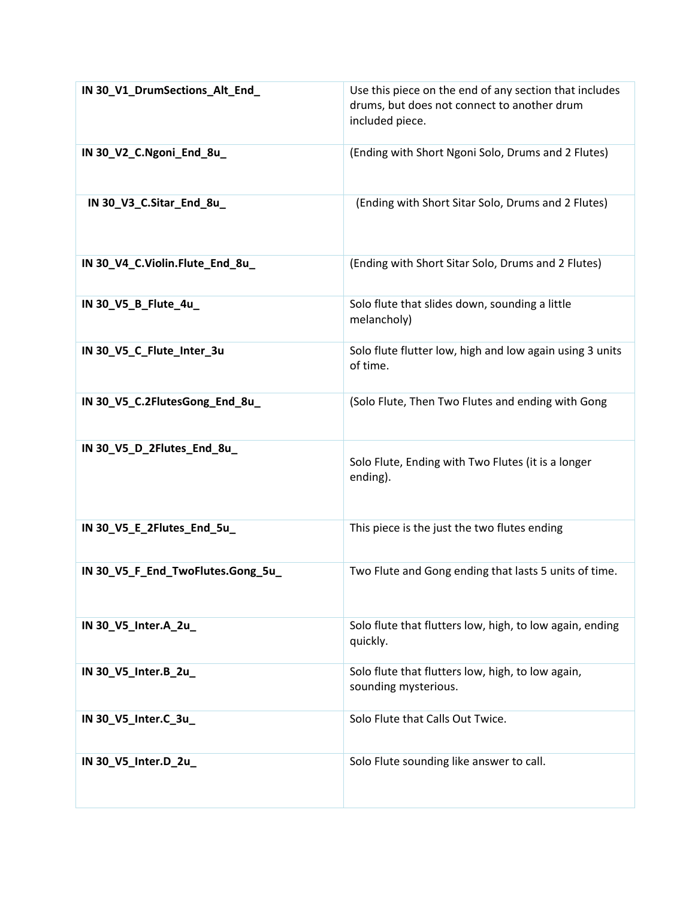| IN 30_V1_DrumSections_Alt_End_    | Use this piece on the end of any section that includes<br>drums, but does not connect to another drum<br>included piece. |
|-----------------------------------|--------------------------------------------------------------------------------------------------------------------------|
| IN 30_V2_C.Ngoni_End_8u_          | (Ending with Short Ngoni Solo, Drums and 2 Flutes)                                                                       |
| IN 30_V3_C.Sitar_End_8u_          | (Ending with Short Sitar Solo, Drums and 2 Flutes)                                                                       |
| IN 30_V4_C.Violin.Flute_End_8u_   | (Ending with Short Sitar Solo, Drums and 2 Flutes)                                                                       |
| IN 30_V5_B_Flute_4u_              | Solo flute that slides down, sounding a little<br>melancholy)                                                            |
| IN 30_V5_C_Flute_Inter_3u         | Solo flute flutter low, high and low again using 3 units<br>of time.                                                     |
| IN 30_V5_C.2FlutesGong_End_8u_    | (Solo Flute, Then Two Flutes and ending with Gong                                                                        |
| IN 30_V5_D_2Flutes_End_8u_        | Solo Flute, Ending with Two Flutes (it is a longer<br>ending).                                                           |
| IN 30_V5_E_2Flutes_End_5u_        | This piece is the just the two flutes ending                                                                             |
| IN 30_V5_F_End_TwoFlutes.Gong_5u_ | Two Flute and Gong ending that lasts 5 units of time.                                                                    |
| IN 30_V5_Inter.A_2u_              | Solo flute that flutters low, high, to low again, ending<br>quickly.                                                     |
| IN 30_V5_Inter.B_2u_              | Solo flute that flutters low, high, to low again,<br>sounding mysterious.                                                |
| IN 30_V5_Inter.C_3u_              | Solo Flute that Calls Out Twice.                                                                                         |
| IN 30_V5_Inter.D_2u_              | Solo Flute sounding like answer to call.                                                                                 |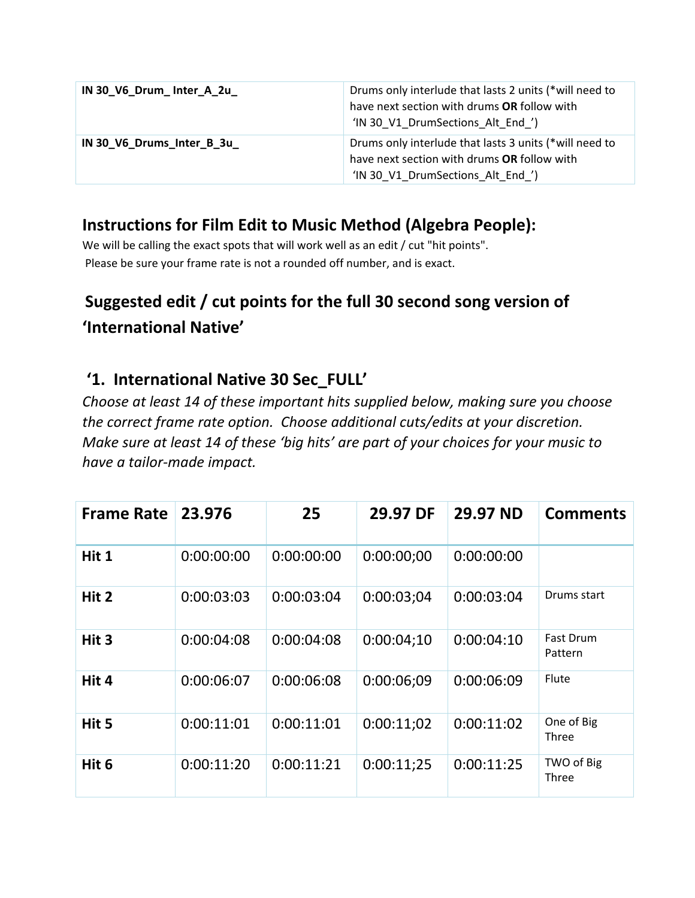| IN 30 V6 Drum Inter A 2u   | Drums only interlude that lasts 2 units (*will need to<br>have next section with drums OR follow with<br>'IN 30 V1 DrumSections Alt End ') |
|----------------------------|--------------------------------------------------------------------------------------------------------------------------------------------|
| IN 30_V6_Drums_Inter_B_3u_ | Drums only interlude that lasts 3 units (*will need to<br>have next section with drums OR follow with<br>'IN 30 V1 DrumSections Alt End ') |

## **Instructions for Film Edit to Music Method (Algebra People):**

We will be calling the exact spots that will work well as an edit / cut "hit points". Please be sure your frame rate is not a rounded off number, and is exact.

# **Suggested edit / cut points for the full 30 second song version of 'International Native'**

## **'1. International Native 30 Sec\_FULL'**

*Choose at least 14 of these important hits supplied below, making sure you choose the correct frame rate option. Choose additional cuts/edits at your discretion. Make sure at least 14 of these 'big hits' are part of your choices for your music to have a tailor-made impact.* 

| <b>Frame Rate</b> | 23.976     | 25         | 29.97 DF   | 29.97 ND   | <b>Comments</b>      |
|-------------------|------------|------------|------------|------------|----------------------|
| Hit 1             | 0:00:00:00 | 0:00:00:00 | 0:00:00:00 | 0:00:00:00 |                      |
| Hit 2             | 0:00:03:03 | 0:00:03:04 | 0:00:03:04 | 0:00:03:04 | Drums start          |
| Hit 3             | 0:00:04:08 | 0:00:04:08 | 0:00:04;10 | 0:00:04:10 | Fast Drum<br>Pattern |
| Hit 4             | 0:00:06:07 | 0:00:06:08 | 0:00:06:09 | 0:00:06:09 | Flute                |
| Hit 5             | 0:00:11:01 | 0:00:11:01 | 0:00:11:02 | 0:00:11:02 | One of Big<br>Three  |
| Hit 6             | 0:00:11:20 | 0:00:11:21 | 0:00:11:25 | 0:00:11:25 | TWO of Big<br>Three  |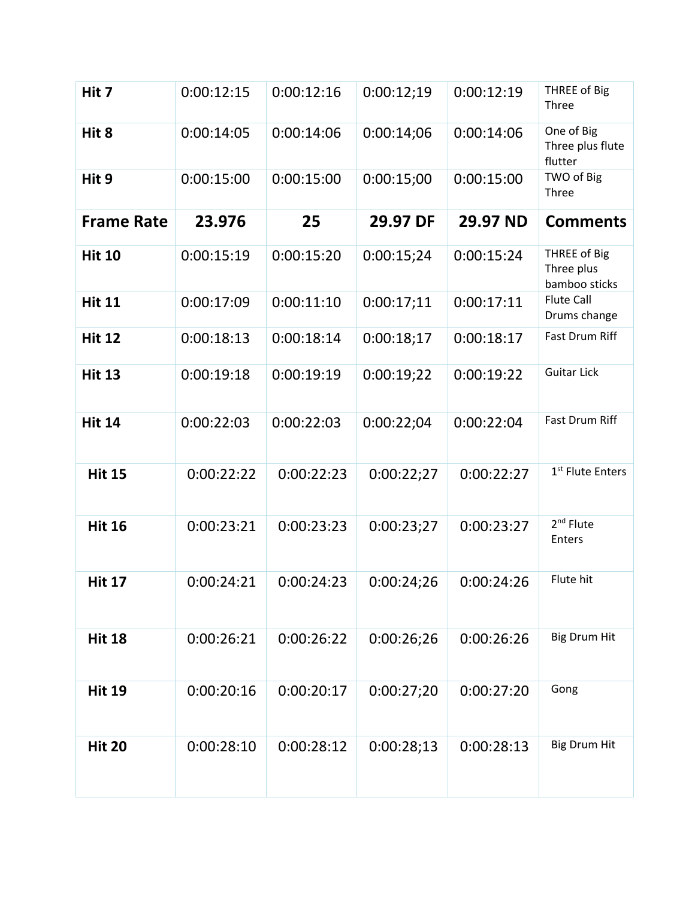| Hit 7             | 0:00:12:15 | 0:00:12:16 | 0:00:12:19 | 0:00:12:19 | THREE of Big<br>Three                       |
|-------------------|------------|------------|------------|------------|---------------------------------------------|
| Hit 8             | 0:00:14:05 | 0:00:14:06 | 0:00:14:06 | 0:00:14:06 | One of Big<br>Three plus flute<br>flutter   |
| Hit 9             | 0:00:15:00 | 0:00:15:00 | 0:00:15;00 | 0:00:15:00 | TWO of Big<br>Three                         |
| <b>Frame Rate</b> | 23.976     | 25         | 29.97 DF   | 29.97 ND   | <b>Comments</b>                             |
| <b>Hit 10</b>     | 0:00:15:19 | 0:00:15:20 | 0:00:15;24 | 0:00:15:24 | THREE of Big<br>Three plus<br>bamboo sticks |
| <b>Hit 11</b>     | 0:00:17:09 | 0:00:11:10 | 0:00:17;11 | 0:00:17:11 | <b>Flute Call</b><br>Drums change           |
| <b>Hit 12</b>     | 0:00:18:13 | 0:00:18:14 | 0:00:18:17 | 0:00:18:17 | Fast Drum Riff                              |
| <b>Hit 13</b>     | 0:00:19:18 | 0:00:19:19 | 0:00:19;22 | 0:00:19:22 | <b>Guitar Lick</b>                          |
| <b>Hit 14</b>     | 0:00:22:03 | 0:00:22:03 | 0:00:22:04 | 0:00:22:04 | <b>Fast Drum Riff</b>                       |
| <b>Hit 15</b>     | 0:00:22:22 | 0:00:22:23 | 0:00:22;27 | 0:00:22:27 | 1 <sup>st</sup> Flute Enters                |
| <b>Hit 16</b>     | 0:00:23:21 | 0:00:23:23 | 0:00:23;27 | 0:00:23:27 | 2 <sup>nd</sup> Flute<br>Enters             |
| <b>Hit 17</b>     | 0:00:24:21 | 0:00:24:23 | 0:00:24:26 | 0:00:24:26 | Flute hit                                   |
| <b>Hit 18</b>     | 0:00:26:21 | 0:00:26:22 | 0:00:26;26 | 0:00:26:26 | <b>Big Drum Hit</b>                         |
| <b>Hit 19</b>     | 0:00:20:16 | 0:00:20:17 | 0:00:27;20 | 0:00:27:20 | Gong                                        |
| <b>Hit 20</b>     | 0:00:28:10 | 0:00:28:12 | 0:00:28:13 | 0:00:28:13 | <b>Big Drum Hit</b>                         |